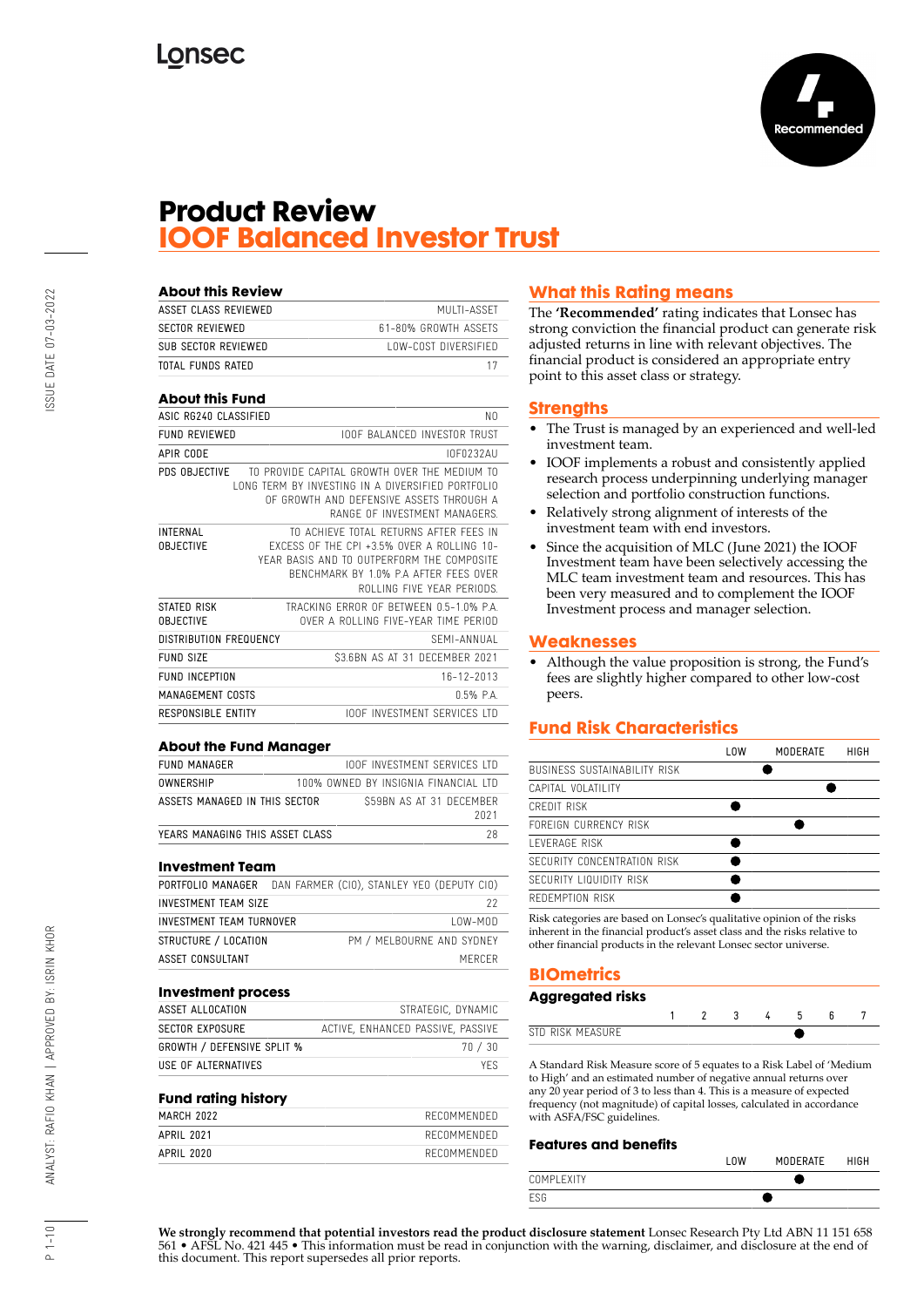

### **Product Review IOOF Balanced Investor Trust**

| <b>About this Review</b>            |                                                                                                                                                                                                                  |
|-------------------------------------|------------------------------------------------------------------------------------------------------------------------------------------------------------------------------------------------------------------|
| ASSET CLASS REVIEWED                | MULTI-ASSET                                                                                                                                                                                                      |
| <b>SECTOR REVIEWED</b>              | 61-80% GROWTH ASSETS                                                                                                                                                                                             |
| SUB SECTOR REVIEWED                 | LOW-COST DIVERSIFIED                                                                                                                                                                                             |
| TOTAL FUNDS RATED                   | 17                                                                                                                                                                                                               |
| <b>About this Fund</b>              |                                                                                                                                                                                                                  |
| ASIC RG240 CLASSIFIED               | N <sub>0</sub>                                                                                                                                                                                                   |
| <b>FUND REVIEWED</b>                | <b>IOOF BALANCED INVESTOR TRUST</b>                                                                                                                                                                              |
| <b>APIR CODE</b>                    | <b>INF0232AU</b>                                                                                                                                                                                                 |
| PDS OBJECTIVE                       | TO PROVIDE CAPITAL GROWTH OVER THE MEDIUM TO<br>LONG TERM BY INVESTING IN A DIVERSIFIED PORTFOLIO<br>OF GROWTH AND DEFENSIVE ASSETS THROUGH A<br>RANGE OF INVESTMENT MANAGERS.                                   |
| <b>INTERNAL</b><br><b>OBJECTIVE</b> | TO ACHIEVE TOTAL RETURNS AFTER FEES IN<br><b>EXCESS OF THE CPL +3.5% OVER A ROLLING 10-</b><br>YEAR BASIS AND TO OUTPERFORM THE COMPOSITE<br>BENCHMARK BY 1.0% P.A AFTER FFFS OVER<br>ROLLING FIVE YEAR PERIODS. |
| STATED RISK<br><b>OBJECTIVE</b>     | TRACKING FRROR OF BETWEEN 0.5-1.0% PA<br>OVER A ROLLING FIVE-YEAR TIME PERIOD                                                                                                                                    |
| <b>DISTRIBUTION FREQUENCY</b>       | SFMI-ANNUAL                                                                                                                                                                                                      |
| FUND SIZE                           | \$3.6BN AS AT 31 DECEMBER 2021                                                                                                                                                                                   |
| <b>FUND INCEPTION</b>               | $16 - 17 - 2013$                                                                                                                                                                                                 |
| MANAGEMENT COSTS                    | $0.5%$ $PA$                                                                                                                                                                                                      |
| RESPONSIBLE ENTITY                  | <b>IOOF INVESTMENT SERVICES ITD</b>                                                                                                                                                                              |

#### **About the Fund Manager**

| FUND MANAGER                    | <b>IOOF INVESTMENT SERVICES LTD</b>  |      |
|---------------------------------|--------------------------------------|------|
| OWNERSHIP                       | 100% OWNED BY INSIGNIA FINANCIAL ITD |      |
| ASSETS MANAGED IN THIS SECTOR   | S59BN AS AT 31 DECEMBER              | 2021 |
| YEARS MANAGING THIS ASSET CLASS |                                      | 28   |

#### **Investment Team**

| PORTFOLIO MANAGER  DAN FARMER (CIO), STANLEY YEO (DEPUTY CIO) |  |  |                           |  |
|---------------------------------------------------------------|--|--|---------------------------|--|
| INVESTMENT TEAM SIZE                                          |  |  | 22                        |  |
| INVESTMENT TEAM TURNOVER                                      |  |  | $10W-M0D$                 |  |
| STRUCTURE / LOCATION                                          |  |  | PM / MELBOURNE AND SYDNEY |  |
| ASSET CONSULTANT                                              |  |  | MERCER                    |  |

### **Investment process** ASSET ALLOCATION STRATEGIC, DYNAMIC SECTOR EXPOSURE ACTIVE, ENHANCED PASSIVE, PASSIVE GROWTH / DEFENSIVE SPLIT % 70 / 30 USE OF ALTERNATIVES YES

### **Fund rating history**

| MARCH 2022 | RECOMMENDED |
|------------|-------------|
| APRIL 2021 | RECOMMENDED |
| APRIL 2020 | RECOMMENDED |
|            |             |

### **What this Rating means**

The **'Recommended'** rating indicates that Lonsec has strong conviction the financial product can generate risk adjusted returns in line with relevant objectives. The financial product is considered an appropriate entry point to this asset class or strategy.

#### **Strengths**

- The Trust is managed by an experienced and well-led investment team.
- IOOF implements a robust and consistently applied research process underpinning underlying manager selection and portfolio construction functions.
- Relatively strong alignment of interests of the investment team with end investors.
- Since the acquisition of MLC (June 2021) the IOOF Investment team have been selectively accessing the MLC team investment team and resources. This has been very measured and to complement the IOOF Investment process and manager selection.

#### **Weaknesses**

• Although the value proposition is strong, the Fund's fees are slightly higher compared to other low-cost peers.

### **Fund Risk Characteristics**

|                              | <b>LOW</b> | MODERATE | HIGH |
|------------------------------|------------|----------|------|
| BUSINESS SUSTAINABILITY RISK |            |          |      |
| CAPITAL VOLATILITY           |            |          |      |
| CREDIT RISK                  |            |          |      |
| FOREIGN CURRENCY RISK        |            |          |      |
| <b>I FVFRAGF RISK</b>        |            |          |      |
| SECURITY CONCENTRATION RISK  |            |          |      |
| SECURITY LIQUIDITY RISK      |            |          |      |
| REDEMPTION RISK              |            |          |      |
|                              |            |          |      |

Risk categories are based on Lonsec's qualitative opinion of the risks inherent in the financial product's asset class and the risks relative to other financial products in the relevant Lonsec sector universe.

### **BIOmetrics**

| <b>Aggregated risks</b> |  |  |  |  |
|-------------------------|--|--|--|--|
|                         |  |  |  |  |
| STD RISK MFASURF        |  |  |  |  |

A Standard Risk Measure score of 5 equates to a Risk Label of 'Medium to High' and an estimated number of negative annual returns over any 20 year period of 3 to less than 4. This is a measure of expected frequency (not magnitude) of capital losses, calculated in accordance with ASFA/FSC guidelines.

#### **Features and benefits**

|             | . UM<br>MODERATE | <b>HIGH</b> |
|-------------|------------------|-------------|
| COMPI FXITY |                  |             |
| <b>ESG</b>  |                  |             |

**We strongly recommend that potential investors read the product disclosure statement** Lonsec Research Pty Ltd ABN 11 151 658 561 • AFSL No. 421 445 • This information must be read in conjunction with the warning, disclaimer, and disclosure at the end of this document. This report supersedes all prior reports.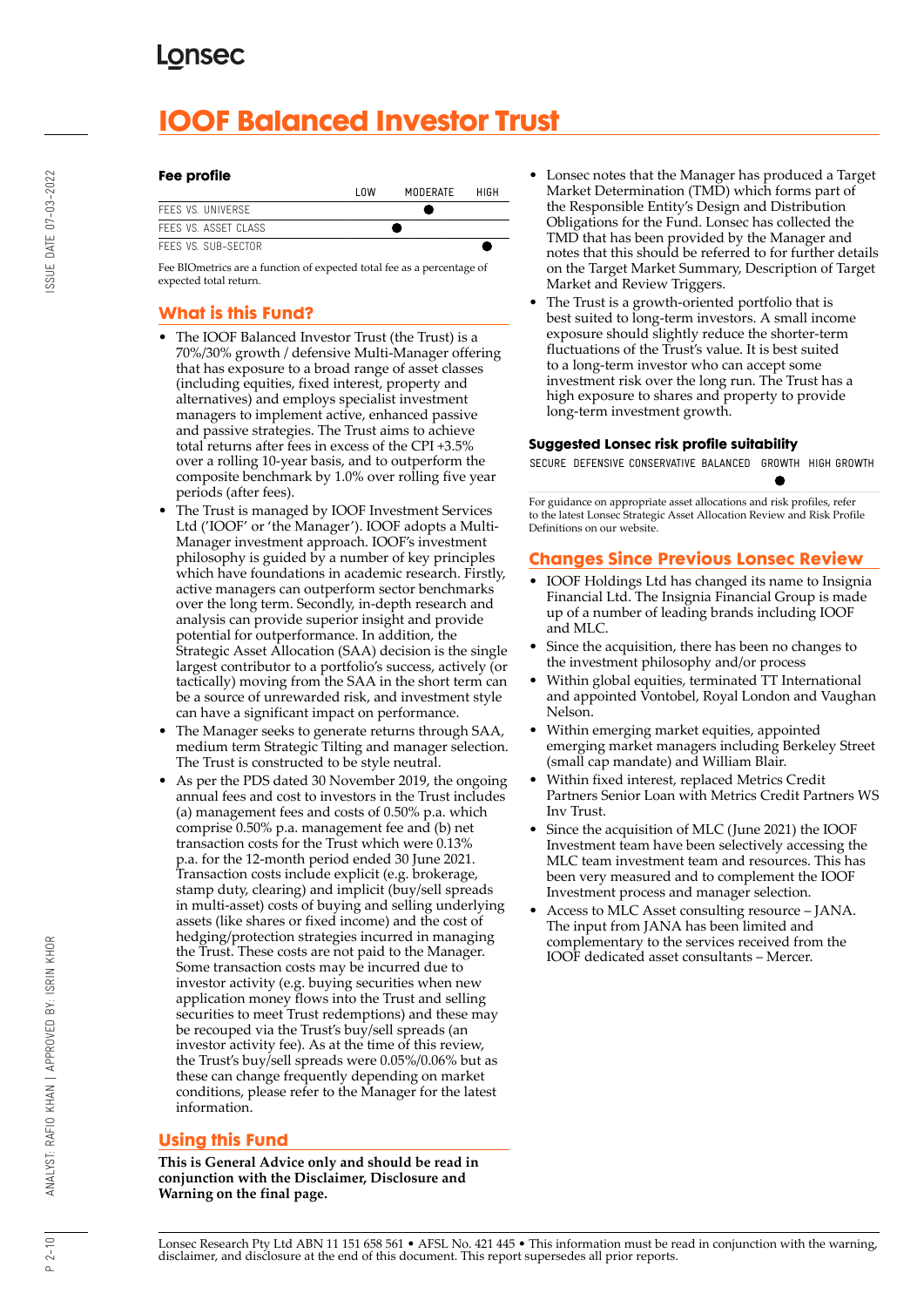# **IOOF Balanced Investor Trust**

#### **Fee profile**

|                      | l OW | MODERATE | HIGH |
|----------------------|------|----------|------|
| FFFS VS. UNIVERSE    |      |          |      |
| FFFS VS. ASSFT CLASS |      |          |      |
| FFFS VS. SUB-SFCTOR  |      |          |      |

Fee BIOmetrics are a function of expected total fee as a percentage of expected total return.

### **What is this Fund?**

- The IOOF Balanced Investor Trust (the Trust) is a 70%/30% growth / defensive Multi-Manager offering that has exposure to a broad range of asset classes (including equities, fixed interest, property and alternatives) and employs specialist investment managers to implement active, enhanced passive and passive strategies. The Trust aims to achieve total returns after fees in excess of the CPI +3.5% over a rolling 10-year basis, and to outperform the composite benchmark by 1.0% over rolling five year periods (after fees).
- The Trust is managed by IOOF Investment Services Ltd ('IOOF' or 'the Manager'). IOOF adopts a Multi-Manager investment approach. IOOF's investment philosophy is guided by a number of key principles which have foundations in academic research. Firstly, active managers can outperform sector benchmarks over the long term. Secondly, in-depth research and analysis can provide superior insight and provide potential for outperformance. In addition, the Strategic Asset Allocation (SAA) decision is the single largest contributor to a portfolio's success, actively (or tactically) moving from the SAA in the short term can be a source of unrewarded risk, and investment style can have a significant impact on performance.
- The Manager seeks to generate returns through SAA, medium term Strategic Tilting and manager selection. The Trust is constructed to be style neutral.
- As per the PDS dated 30 November 2019, the ongoing annual fees and cost to investors in the Trust includes (a) management fees and costs of 0.50% p.a. which comprise 0.50% p.a. management fee and (b) net transaction costs for the Trust which were 0.13% p.a. for the 12-month period ended 30 June 2021. Transaction costs include explicit (e.g. brokerage, stamp duty, clearing) and implicit (buy/sell spreads in multi-asset) costs of buying and selling underlying assets (like shares or fixed income) and the cost of hedging/protection strategies incurred in managing the Trust. These costs are not paid to the Manager. Some transaction costs may be incurred due to investor activity (e.g. buying securities when new application money flows into the Trust and selling securities to meet Trust redemptions) and these may be recouped via the Trust's buy/sell spreads (an investor activity fee). As at the time of this review, the Trust's buy/sell spreads were 0.05%/0.06% but as these can change frequently depending on market conditions, please refer to the Manager for the latest information.

### **Using this Fund**

**This is General Advice only and should be read in conjunction with the Disclaimer, Disclosure and Warning on the final page.**

- Lonsec notes that the Manager has produced a Target Market Determination (TMD) which forms part of the Responsible Entity's Design and Distribution Obligations for the Fund. Lonsec has collected the TMD that has been provided by the Manager and notes that this should be referred to for further details on the Target Market Summary, Description of Target Market and Review Triggers.
- The Trust is a growth-oriented portfolio that is best suited to long-term investors. A small income exposure should slightly reduce the shorter-term fluctuations of the Trust's value. It is best suited to a long-term investor who can accept some investment risk over the long run. The Trust has a high exposure to shares and property to provide long-term investment growth.

### **Suggested Lonsec risk profile suitability**

SECURE DEFENSIVE CONSERVATIVE BALANCED GROWTH HIGH GROWTH

For guidance on appropriate asset allocations and risk profiles, refer to the latest Lonsec Strategic Asset Allocation Review and Risk Profile Definitions on our website.

### **Changes Since Previous Lonsec Review**

- IOOF Holdings Ltd has changed its name to Insignia Financial Ltd. The Insignia Financial Group is made up of a number of leading brands including IOOF and MLC.
- Since the acquisition, there has been no changes to the investment philosophy and/or process
- Within global equities, terminated TT International and appointed Vontobel, Royal London and Vaughan Nelson.
- Within emerging market equities, appointed emerging market managers including Berkeley Street (small cap mandate) and William Blair.
- Within fixed interest, replaced Metrics Credit Partners Senior Loan with Metrics Credit Partners WS Inv Trust.
- Since the acquisition of MLC (June 2021) the IOOF Investment team have been selectively accessing the MLC team investment team and resources. This has been very measured and to complement the IOOF Investment process and manager selection.
- Access to MLC Asset consulting resource JANA. The input from JANA has been limited and complementary to the services received from the IOOF dedicated asset consultants – Mercer.

Lonsec Research Pty Ltd ABN 11 151 658 561 • AFSL No. 421 445 • This information must be read in conjunction with the warning, disclaimer, and disclosure at the end of this document. This report supersedes all prior reports.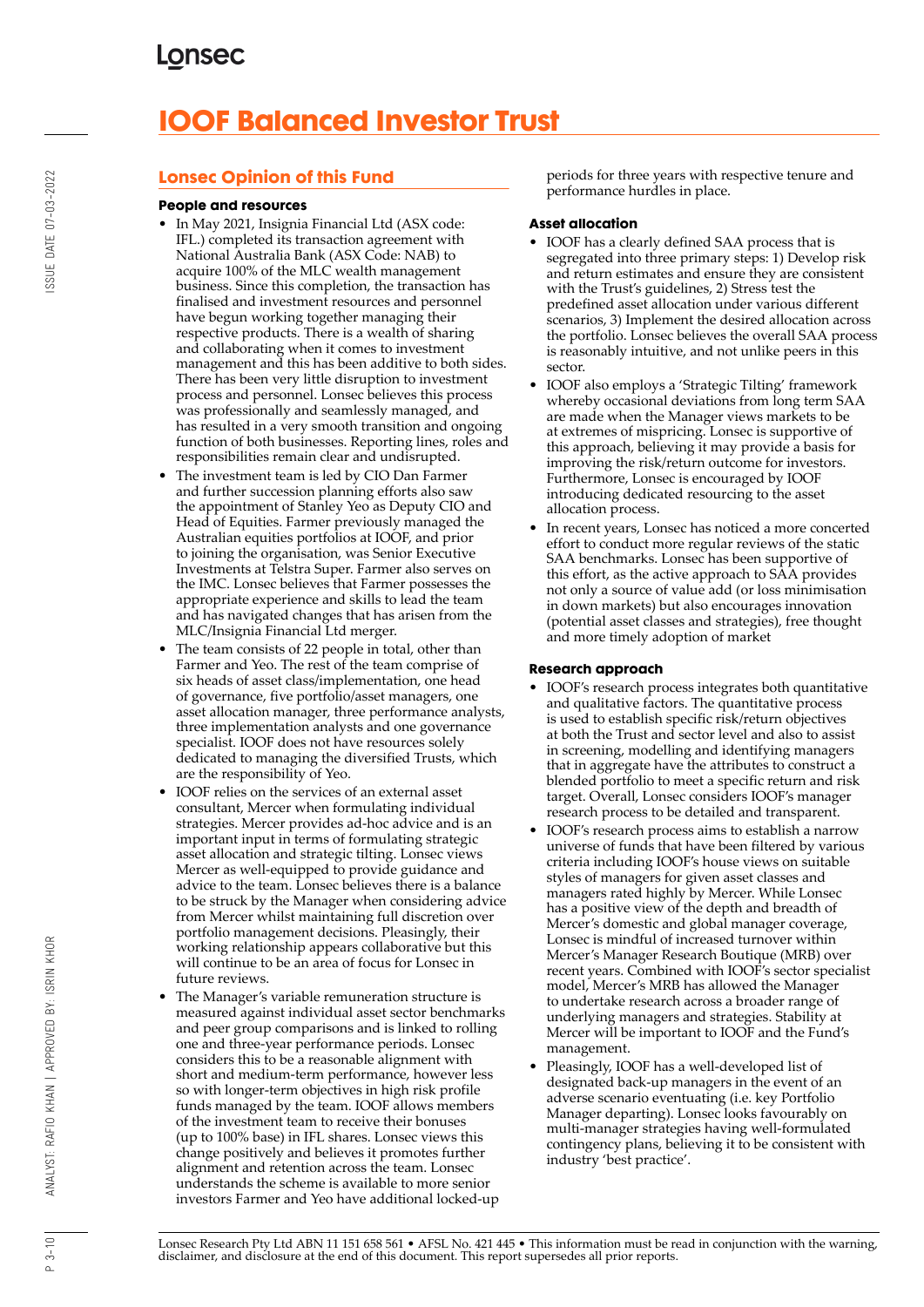# **IOOF Balanced Investor Trust**

### **Lonsec Opinion of this Fund**

#### **People and resources**

- In May 2021, Insignia Financial Ltd (ASX code: IFL.) completed its transaction agreement with National Australia Bank (ASX Code: NAB) to acquire 100% of the MLC wealth management business. Since this completion, the transaction has finalised and investment resources and personnel have begun working together managing their respective products. There is a wealth of sharing and collaborating when it comes to investment management and this has been additive to both sides. There has been very little disruption to investment process and personnel. Lonsec believes this process was professionally and seamlessly managed, and has resulted in a very smooth transition and ongoing function of both businesses. Reporting lines, roles and responsibilities remain clear and undisrupted.
- The investment team is led by CIO Dan Farmer and further succession planning efforts also saw the appointment of Stanley Yeo as Deputy CIO and Head of Equities. Farmer previously managed the Australian equities portfolios at IOOF, and prior to joining the organisation, was Senior Executive Investments at Telstra Super. Farmer also serves on the IMC. Lonsec believes that Farmer possesses the appropriate experience and skills to lead the team and has navigated changes that has arisen from the MLC/Insignia Financial Ltd merger.
- The team consists of 22 people in total, other than Farmer and Yeo. The rest of the team comprise of six heads of asset class/implementation, one head of governance, five portfolio/asset managers, one asset allocation manager, three performance analysts, three implementation analysts and one governance specialist. IOOF does not have resources solely dedicated to managing the diversified Trusts, which are the responsibility of Yeo.
- IOOF relies on the services of an external asset consultant, Mercer when formulating individual strategies. Mercer provides ad-hoc advice and is an important input in terms of formulating strategic asset allocation and strategic tilting. Lonsec views Mercer as well-equipped to provide guidance and advice to the team. Lonsec believes there is a balance to be struck by the Manager when considering advice from Mercer whilst maintaining full discretion over portfolio management decisions. Pleasingly, their working relationship appears collaborative but this will continue to be an area of focus for Lonsec in future reviews.
- The Manager's variable remuneration structure is measured against individual asset sector benchmarks and peer group comparisons and is linked to rolling one and three-year performance periods. Lonsec considers this to be a reasonable alignment with short and medium-term performance, however less so with longer-term objectives in high risk profile funds managed by the team. IOOF allows members of the investment team to receive their bonuses (up to 100% base) in IFL shares. Lonsec views this change positively and believes it promotes further alignment and retention across the team. Lonsec understands the scheme is available to more senior investors Farmer and Yeo have additional locked-up

periods for three years with respective tenure and performance hurdles in place.

#### **Asset allocation**

- IOOF has a clearly defined SAA process that is segregated into three primary steps: 1) Develop risk and return estimates and ensure they are consistent with the Trust's guidelines, 2) Stress test the predefined asset allocation under various different scenarios, 3) Implement the desired allocation across the portfolio. Lonsec believes the overall SAA process is reasonably intuitive, and not unlike peers in this sector.
- IOOF also employs a 'Strategic Tilting' framework whereby occasional deviations from long term SAA are made when the Manager views markets to be at extremes of mispricing. Lonsec is supportive of this approach, believing it may provide a basis for improving the risk/return outcome for investors. Furthermore, Lonsec is encouraged by IOOF introducing dedicated resourcing to the asset allocation process.
- In recent years, Lonsec has noticed a more concerted effort to conduct more regular reviews of the static SAA benchmarks. Lonsec has been supportive of this effort, as the active approach to SAA provides not only a source of value add (or loss minimisation in down markets) but also encourages innovation (potential asset classes and strategies), free thought and more timely adoption of market

### **Research approach**

- IOOF's research process integrates both quantitative and qualitative factors. The quantitative process is used to establish specific risk/return objectives at both the Trust and sector level and also to assist in screening, modelling and identifying managers that in aggregate have the attributes to construct a blended portfolio to meet a specific return and risk target. Overall, Lonsec considers IOOF's manager research process to be detailed and transparent.
- IOOF's research process aims to establish a narrow universe of funds that have been filtered by various criteria including IOOF's house views on suitable styles of managers for given asset classes and managers rated highly by Mercer. While Lonsec has a positive view of the depth and breadth of Mercer's domestic and global manager coverage, Lonsec is mindful of increased turnover within Mercer's Manager Research Boutique (MRB) over recent years. Combined with IOOF's sector specialist model, Mercer's MRB has allowed the Manager to undertake research across a broader range of underlying managers and strategies. Stability at Mercer will be important to IOOF and the Fund's management.
- Pleasingly, IOOF has a well-developed list of designated back-up managers in the event of an adverse scenario eventuating (i.e. key Portfolio Manager departing). Lonsec looks favourably on multi-manager strategies having well-formulated contingency plans, believing it to be consistent with industry 'best practice'.

Lonsec Research Pty Ltd ABN 11 151 658 561 • AFSL No. 421 445 • This information must be read in conjunction with the warning, disclaimer, and disclosure at the end of this document. This report supersedes all prior reports.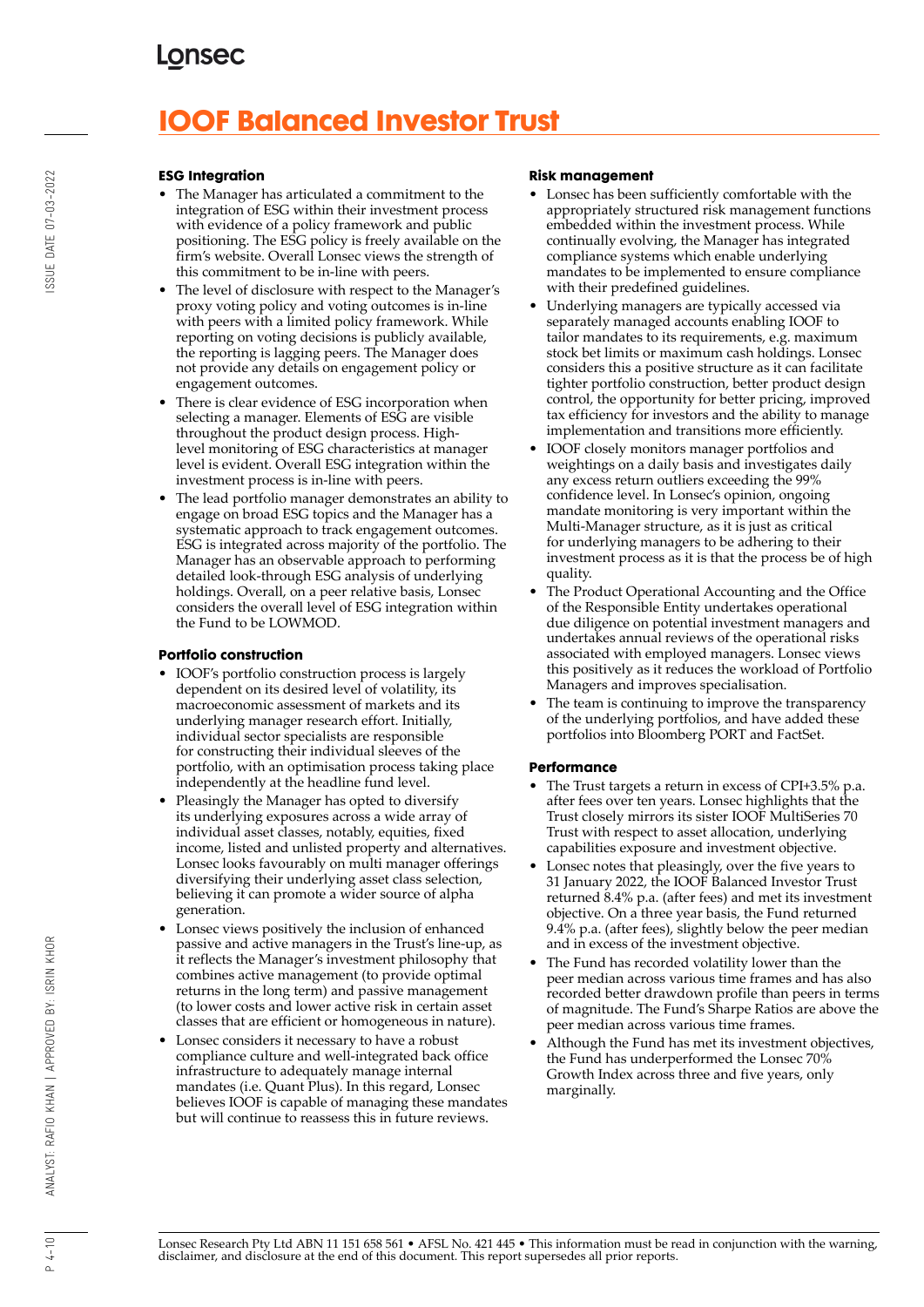# **IOOF Balanced Investor Trust**

#### **ESG Integration**

- The Manager has articulated a commitment to the integration of ESG within their investment process with evidence of a policy framework and public positioning. The ESG policy is freely available on the firm's website. Overall Lonsec views the strength of this commitment to be in-line with peers.
- The level of disclosure with respect to the Manager's proxy voting policy and voting outcomes is in-line with peers with a limited policy framework. While reporting on voting decisions is publicly available, the reporting is lagging peers. The Manager does not provide any details on engagement policy or engagement outcomes.
- There is clear evidence of ESG incorporation when selecting a manager. Elements of ESG are visible throughout the product design process. Highlevel monitoring of ESG characteristics at manager level is evident. Overall ESG integration within the investment process is in-line with peers.
- The lead portfolio manager demonstrates an ability to engage on broad ESG topics and the Manager has a systematic approach to track engagement outcomes. ESG is integrated across majority of the portfolio. The Manager has an observable approach to performing detailed look-through ESG analysis of underlying holdings. Overall, on a peer relative basis, Lonsec considers the overall level of ESG integration within the Fund to be LOWMOD.

#### **Portfolio construction**

- IOOF's portfolio construction process is largely dependent on its desired level of volatility, its macroeconomic assessment of markets and its underlying manager research effort. Initially, individual sector specialists are responsible for constructing their individual sleeves of the portfolio, with an optimisation process taking place independently at the headline fund level.
- Pleasingly the Manager has opted to diversify its underlying exposures across a wide array of individual asset classes, notably, equities, fixed income, listed and unlisted property and alternatives. Lonsec looks favourably on multi manager offerings diversifying their underlying asset class selection, believing it can promote a wider source of alpha generation.
- Lonsec views positively the inclusion of enhanced passive and active managers in the Trust's line-up, as it reflects the Manager's investment philosophy that combines active management (to provide optimal returns in the long term) and passive management (to lower costs and lower active risk in certain asset classes that are efficient or homogeneous in nature).
- Lonsec considers it necessary to have a robust compliance culture and well-integrated back office infrastructure to adequately manage internal mandates (i.e. Quant Plus). In this regard, Lonsec believes IOOF is capable of managing these mandates but will continue to reassess this in future reviews.

#### **Risk management**

- Lonsec has been sufficiently comfortable with the appropriately structured risk management functions embedded within the investment process. While continually evolving, the Manager has integrated compliance systems which enable underlying mandates to be implemented to ensure compliance with their predefined guidelines.
- Underlying managers are typically accessed via separately managed accounts enabling IOOF to tailor mandates to its requirements, e.g. maximum stock bet limits or maximum cash holdings. Lonsec considers this a positive structure as it can facilitate tighter portfolio construction, better product design control, the opportunity for better pricing, improved tax efficiency for investors and the ability to manage implementation and transitions more efficiently.
- IOOF closely monitors manager portfolios and weightings on a daily basis and investigates daily any excess return outliers exceeding the 99% confidence level. In Lonsec's opinion, ongoing mandate monitoring is very important within the Multi-Manager structure, as it is just as critical for underlying managers to be adhering to their investment process as it is that the process be of high quality.
- The Product Operational Accounting and the Office of the Responsible Entity undertakes operational due diligence on potential investment managers and undertakes annual reviews of the operational risks associated with employed managers. Lonsec views this positively as it reduces the workload of Portfolio Managers and improves specialisation.
- The team is continuing to improve the transparency of the underlying portfolios, and have added these portfolios into Bloomberg PORT and FactSet.

### **Performance**

- The Trust targets a return in excess of CPI+3.5% p.a. after fees over ten years. Lonsec highlights that the Trust closely mirrors its sister IOOF MultiSeries 70 Trust with respect to asset allocation, underlying capabilities exposure and investment objective.
- Lonsec notes that pleasingly, over the five years to 31 January 2022, the IOOF Balanced Investor Trust returned 8.4% p.a. (after fees) and met its investment objective. On a three year basis, the Fund returned 9.4% p.a. (after fees), slightly below the peer median and in excess of the investment objective.
- The Fund has recorded volatility lower than the peer median across various time frames and has also recorded better drawdown profile than peers in terms of magnitude. The Fund's Sharpe Ratios are above the peer median across various time frames.
- Although the Fund has met its investment objectives, the Fund has underperformed the Lonsec 70% Growth Index across three and five years, only marginally.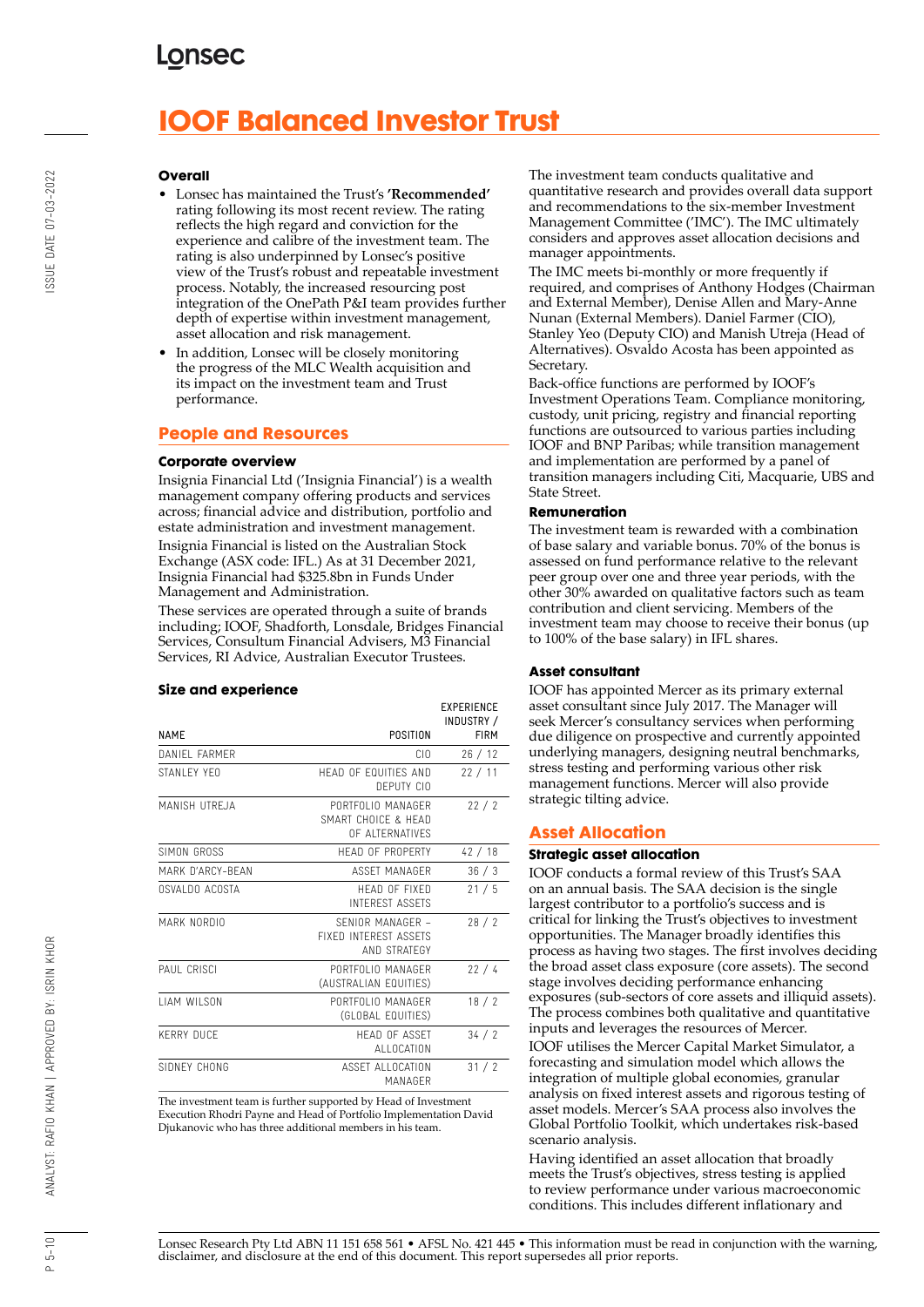# **IOOF Balanced Investor Trust**

#### **Overall**

- Lonsec has maintained the Trust's **'Recommended'** rating following its most recent review. The rating reflects the high regard and conviction for the experience and calibre of the investment team. The rating is also underpinned by Lonsec's positive view of the Trust's robust and repeatable investment process. Notably, the increased resourcing post integration of the OnePath P&I team provides further depth of expertise within investment management, asset allocation and risk management.
- In addition, Lonsec will be closely monitoring the progress of the MLC Wealth acquisition and its impact on the investment team and Trust performance.

#### **People and Resources**

#### **Corporate overview**

Insignia Financial Ltd ('Insignia Financial') is a wealth management company offering products and services across; financial advice and distribution, portfolio and estate administration and investment management. Insignia Financial is listed on the Australian Stock Exchange (ASX code: IFL.) As at 31 December 2021, Insignia Financial had \$325.8bn in Funds Under Management and Administration.

These services are operated through a suite of brands including; IOOF, Shadforth, Lonsdale, Bridges Financial Services, Consultum Financial Advisers, M3 Financial Services, RI Advice, Australian Executor Trustees.

#### **Size and experience**

|                     |                                                                  | <b>EXPERIENCE</b><br>INDUSTRY / |
|---------------------|------------------------------------------------------------------|---------------------------------|
| <b>NAMF</b>         | POSITION                                                         | <b>FIRM</b>                     |
| DANIFI FARMER       | CIO                                                              | 26/12                           |
| STANI FY YFO        | HEAD OF FOUITIES AND<br>DEPUTY CIO                               | 22/11                           |
| MANISH UTREJA       | PORTEOLIO MANAGER<br>SMART CHOICE & HEAD<br>OF ALTERNATIVES      | 22/2                            |
| SIMON GROSS         | <b>HFAD OF PROPERTY</b>                                          | 42/18                           |
| MARK D'ARCY-BFAN    | ASSFT MANAGER                                                    | 36/3                            |
| OSVALDO ACOSTA      | HFAD OF FIXED<br><b>INTEREST ASSETS</b>                          | 21/5                            |
| MARK NORDIO         | SENIOR MANAGER -<br><b>FIXED INTEREST ASSETS</b><br>AND STRATEGY | 28/2                            |
| PAUL CRISCI         | PORTFOLIO MANAGER<br>(AUSTRALIAN EQUITIES)                       | 22/4                            |
| <b>I IAM WILSON</b> | PORTFOLIO MANAGER<br>(GLOBAL EQUITIES)                           | 18/2                            |
| <b>KERRY DUCF</b>   | <b>HFAD OF ASSFT</b><br>ALLOCATION                               | 34/2                            |
| SIDNEY CHONG        | ASSET ALLOCATION<br>MANAGFR                                      | 31/2                            |

The investment team is further supported by Head of Investment Execution Rhodri Payne and Head of Portfolio Implementation David Djukanovic who has three additional members in his team.

The investment team conducts qualitative and quantitative research and provides overall data support and recommendations to the six-member Investment Management Committee ('IMC'). The IMC ultimately considers and approves asset allocation decisions and manager appointments.

The IMC meets bi-monthly or more frequently if required, and comprises of Anthony Hodges (Chairman and External Member), Denise Allen and Mary-Anne Nunan (External Members). Daniel Farmer (CIO), Stanley Yeo (Deputy CIO) and Manish Utreja (Head of Alternatives). Osvaldo Acosta has been appointed as Secretary.

Back-office functions are performed by IOOF's Investment Operations Team. Compliance monitoring, custody, unit pricing, registry and financial reporting functions are outsourced to various parties including IOOF and BNP Paribas; while transition management and implementation are performed by a panel of transition managers including Citi, Macquarie, UBS and State Street.

#### **Remuneration**

The investment team is rewarded with a combination of base salary and variable bonus. 70% of the bonus is assessed on fund performance relative to the relevant peer group over one and three year periods, with the other 30% awarded on qualitative factors such as team contribution and client servicing. Members of the investment team may choose to receive their bonus (up to 100% of the base salary) in IFL shares.

#### **Asset consultant**

IOOF has appointed Mercer as its primary external asset consultant since July 2017. The Manager will seek Mercer's consultancy services when performing due diligence on prospective and currently appointed underlying managers, designing neutral benchmarks, stress testing and performing various other risk management functions. Mercer will also provide strategic tilting advice.

#### **Asset Allocation**

#### **Strategic asset allocation**

IOOF conducts a formal review of this Trust's SAA on an annual basis. The SAA decision is the single largest contributor to a portfolio's success and is critical for linking the Trust's objectives to investment opportunities. The Manager broadly identifies this process as having two stages. The first involves deciding the broad asset class exposure (core assets). The second stage involves deciding performance enhancing exposures (sub-sectors of core assets and illiquid assets). The process combines both qualitative and quantitative inputs and leverages the resources of Mercer.

IOOF utilises the Mercer Capital Market Simulator, a forecasting and simulation model which allows the integration of multiple global economies, granular analysis on fixed interest assets and rigorous testing of asset models. Mercer's SAA process also involves the Global Portfolio Toolkit, which undertakes risk-based scenario analysis.

Having identified an asset allocation that broadly meets the Trust's objectives, stress testing is applied to review performance under various macroeconomic conditions. This includes different inflationary and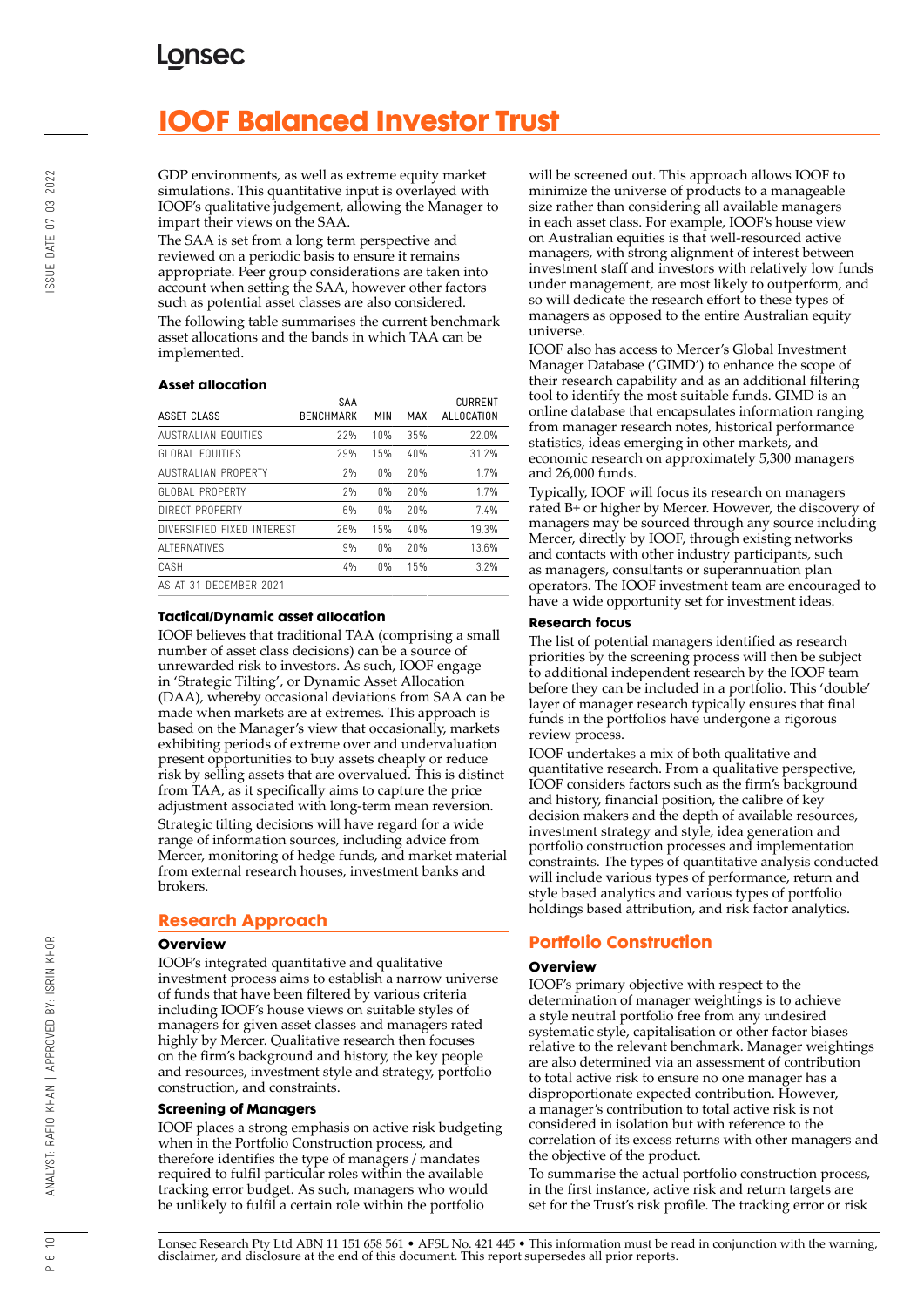# **IOOF Balanced Investor Trust**

GDP environments, as well as extreme equity market simulations. This quantitative input is overlayed with IOOF's qualitative judgement, allowing the Manager to impart their views on the SAA.

The SAA is set from a long term perspective and reviewed on a periodic basis to ensure it remains appropriate. Peer group considerations are taken into account when setting the SAA, however other factors such as potential asset classes are also considered. The following table summarises the current benchmark asset allocations and the bands in which TAA can be implemented.

#### **Asset allocation**

|                            | <b>SAA</b>       |       |     | <b>CURRENT</b> |
|----------------------------|------------------|-------|-----|----------------|
| ASSET CLASS                | <b>BENCHMARK</b> | MIN   | MAX | ALLOCATION     |
| AUSTRALIAN FOUITIES        | 77%              | 10%   | 35% | 22.0%          |
| GLOBAL FOUITIES            | 29%              | 15%   | 40% | 31.2%          |
| AUSTRALIAN PROPERTY        | 7%               | 0%    | 20% | 1.7%           |
| GLOBAL PROPERTY            | 7%               | $0\%$ | 20% | 1.7%           |
| DIRECT PROPERTY            | 6%               | 0%    | 20% | 7.4%           |
| DIVERSIFIED FIXED INTEREST | 26%              | 15%   | 40% | 19.3%          |
| AI TERNATIVES              | 9%               | 0%    | 20% | 13.6%          |
| CASH                       | 4%               | 0%    | 15% | 3.2%           |
| AS AT 31 DECEMBER 2021     |                  |       |     |                |

#### **Tactical/Dynamic asset allocation**

IOOF believes that traditional TAA (comprising a small number of asset class decisions) can be a source of unrewarded risk to investors. As such, IOOF engage in 'Strategic Tilting', or Dynamic Asset Allocation (DAA), whereby occasional deviations from SAA can be made when markets are at extremes. This approach is based on the Manager's view that occasionally, markets exhibiting periods of extreme over and undervaluation present opportunities to buy assets cheaply or reduce risk by selling assets that are overvalued. This is distinct from TAA, as it specifically aims to capture the price adjustment associated with long-term mean reversion. Strategic tilting decisions will have regard for a wide range of information sources, including advice from Mercer, monitoring of hedge funds, and market material from external research houses, investment banks and brokers.

### **Research Approach**

#### **Overview**

IOOF's integrated quantitative and qualitative investment process aims to establish a narrow universe of funds that have been filtered by various criteria including IOOF's house views on suitable styles of managers for given asset classes and managers rated highly by Mercer. Qualitative research then focuses on the firm's background and history, the key people and resources, investment style and strategy, portfolio construction, and constraints.

#### **Screening of Managers**

IOOF places a strong emphasis on active risk budgeting when in the Portfolio Construction process, and therefore identifies the type of managers / mandates required to fulfil particular roles within the available tracking error budget. As such, managers who would be unlikely to fulfil a certain role within the portfolio

will be screened out. This approach allows IOOF to minimize the universe of products to a manageable size rather than considering all available managers in each asset class. For example, IOOF's house view on Australian equities is that well-resourced active managers, with strong alignment of interest between investment staff and investors with relatively low funds under management, are most likely to outperform, and so will dedicate the research effort to these types of managers as opposed to the entire Australian equity universe.

IOOF also has access to Mercer's Global Investment Manager Database ('GIMD') to enhance the scope of their research capability and as an additional filtering tool to identify the most suitable funds. GIMD is an online database that encapsulates information ranging from manager research notes, historical performance statistics, ideas emerging in other markets, and economic research on approximately 5,300 managers and 26,000 funds.

Typically, IOOF will focus its research on managers rated B+ or higher by Mercer. However, the discovery of managers may be sourced through any source including Mercer, directly by IOOF, through existing networks and contacts with other industry participants, such as managers, consultants or superannuation plan operators. The IOOF investment team are encouraged to have a wide opportunity set for investment ideas.

#### **Research focus**

The list of potential managers identified as research priorities by the screening process will then be subject to additional independent research by the IOOF team before they can be included in a portfolio. This 'double' layer of manager research typically ensures that final funds in the portfolios have undergone a rigorous review process.

IOOF undertakes a mix of both qualitative and quantitative research. From a qualitative perspective, IOOF considers factors such as the firm's background and history, financial position, the calibre of key decision makers and the depth of available resources, investment strategy and style, idea generation and portfolio construction processes and implementation constraints. The types of quantitative analysis conducted will include various types of performance, return and style based analytics and various types of portfolio holdings based attribution, and risk factor analytics.

### **Portfolio Construction**

#### **Overview**

IOOF's primary objective with respect to the determination of manager weightings is to achieve a style neutral portfolio free from any undesired systematic style, capitalisation or other factor biases relative to the relevant benchmark. Manager weightings are also determined via an assessment of contribution to total active risk to ensure no one manager has a disproportionate expected contribution. However, a manager's contribution to total active risk is not considered in isolation but with reference to the correlation of its excess returns with other managers and the objective of the product.

To summarise the actual portfolio construction process, in the first instance, active risk and return targets are set for the Trust's risk profile. The tracking error or risk

Lonsec Research Pty Ltd ABN 11 151 658 561 • AFSL No. 421 445 • This information must be read in conjunction with the warning, disclaimer, and disclosure at the end of this document. This report supersedes all prior reports.

 $P 6 - 10$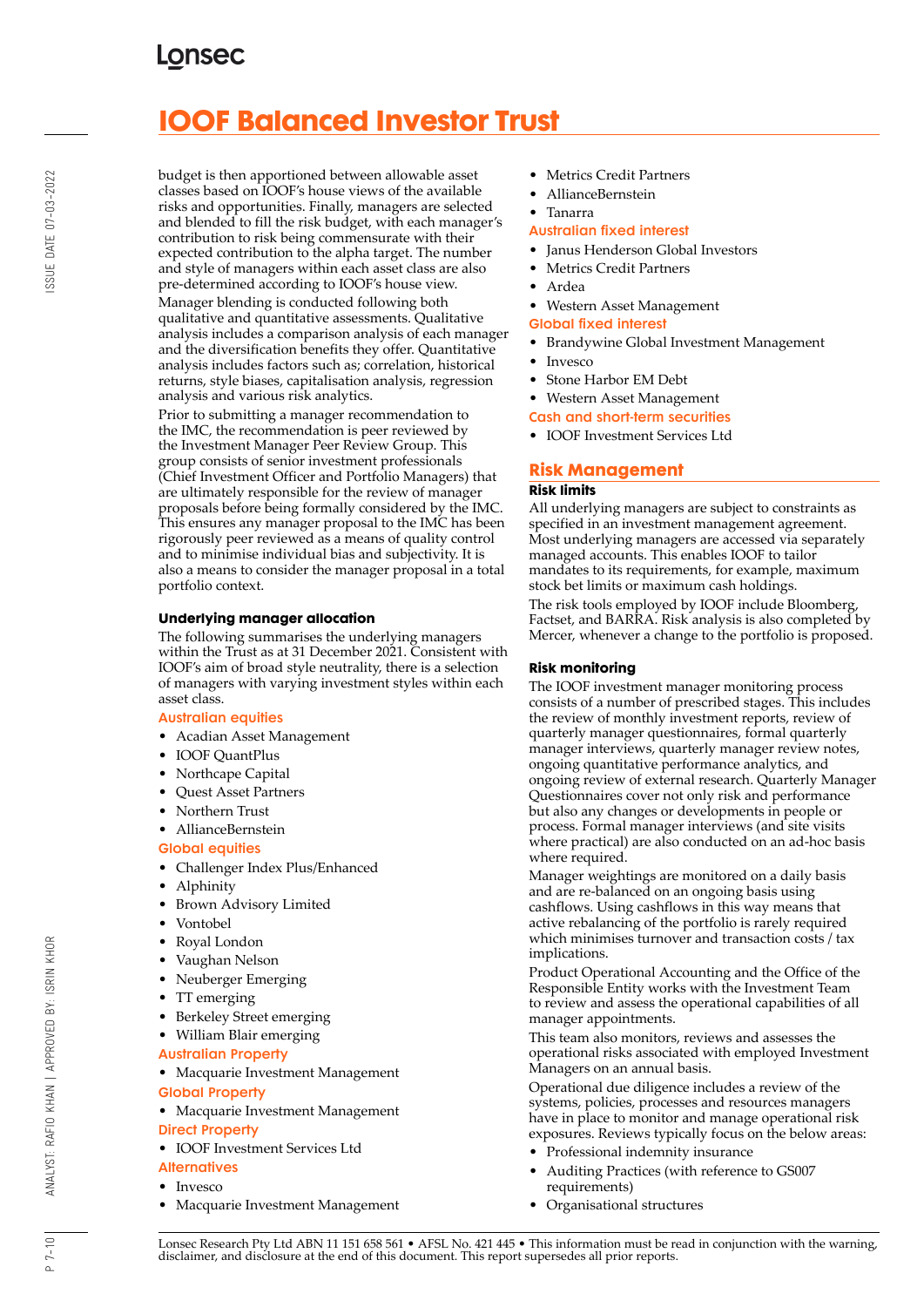# **IOOF Balanced Investor Trust**

budget is then apportioned between allowable asset classes based on IOOF's house views of the available risks and opportunities. Finally, managers are selected and blended to fill the risk budget, with each manager's contribution to risk being commensurate with their expected contribution to the alpha target. The number and style of managers within each asset class are also pre-determined according to IOOF's house view. Manager blending is conducted following both qualitative and quantitative assessments. Qualitative analysis includes a comparison analysis of each manager and the diversification benefits they offer. Quantitative analysis includes factors such as; correlation, historical returns, style biases, capitalisation analysis, regression analysis and various risk analytics.

Prior to submitting a manager recommendation to the IMC, the recommendation is peer reviewed by the Investment Manager Peer Review Group. This group consists of senior investment professionals (Chief Investment Officer and Portfolio Managers) that are ultimately responsible for the review of manager proposals before being formally considered by the IMC. This ensures any manager proposal to the IMC has been rigorously peer reviewed as a means of quality control and to minimise individual bias and subjectivity. It is also a means to consider the manager proposal in a total portfolio context.

### **Underlying manager allocation**

The following summarises the underlying managers within the Trust as at 31 December 2021. Consistent with IOOF's aim of broad style neutrality, there is a selection of managers with varying investment styles within each asset class.

#### Australian equities

- Acadian Asset Management
- IOOF QuantPlus
- Northcape Capital
- Quest Asset Partners
- Northern Trust
- AllianceBernstein

### Global equities

- Challenger Index Plus/Enhanced
- Alphinity
- Brown Advisory Limited
- Vontobel
- Royal London
- Vaughan Nelson
- Neuberger Emerging
- TT emerging
- Berkeley Street emerging
- William Blair emerging
- Australian Property
- Macquarie Investment Management Global Property
- Macquarie Investment Management Direct Property
- IOOF Investment Services Ltd
- **Alternatives**
- Invesco
- Macquarie Investment Management
- Metrics Credit Partners
- AllianceBernstein

### • Tanarra

### Australian fixed interest

- Janus Henderson Global Investors
- Metrics Credit Partners
- Ardea
- Western Asset Management

#### Global fixed interest

- Brandywine Global Investment Management
- **Invesco**
- Stone Harbor EM Debt
- Western Asset Management
- Cash and short-term securities
- IOOF Investment Services Ltd

### **Risk Management**

#### **Risk limits**

All underlying managers are subject to constraints as specified in an investment management agreement. Most underlying managers are accessed via separately managed accounts. This enables IOOF to tailor mandates to its requirements, for example, maximum stock bet limits or maximum cash holdings.

The risk tools employed by IOOF include Bloomberg, Factset, and BARRA. Risk analysis is also completed by Mercer, whenever a change to the portfolio is proposed.

#### **Risk monitoring**

The IOOF investment manager monitoring process consists of a number of prescribed stages. This includes the review of monthly investment reports, review of quarterly manager questionnaires, formal quarterly manager interviews, quarterly manager review notes, ongoing quantitative performance analytics, and ongoing review of external research. Quarterly Manager Questionnaires cover not only risk and performance but also any changes or developments in people or process. Formal manager interviews (and site visits where practical) are also conducted on an ad-hoc basis where required.

Manager weightings are monitored on a daily basis and are re-balanced on an ongoing basis using cashflows. Using cashflows in this way means that active rebalancing of the portfolio is rarely required which minimises turnover and transaction costs / tax implications.

Product Operational Accounting and the Office of the Responsible Entity works with the Investment Team to review and assess the operational capabilities of all manager appointments.

This team also monitors, reviews and assesses the operational risks associated with employed Investment Managers on an annual basis.

Operational due diligence includes a review of the systems, policies, processes and resources managers have in place to monitor and manage operational risk exposures. Reviews typically focus on the below areas:

- Professional indemnity insurance
- Auditing Practices (with reference to GS007 requirements)
- Organisational structures

BY: ISRIN KHOR

ANALYST: RAFIO KHAN | APPROVED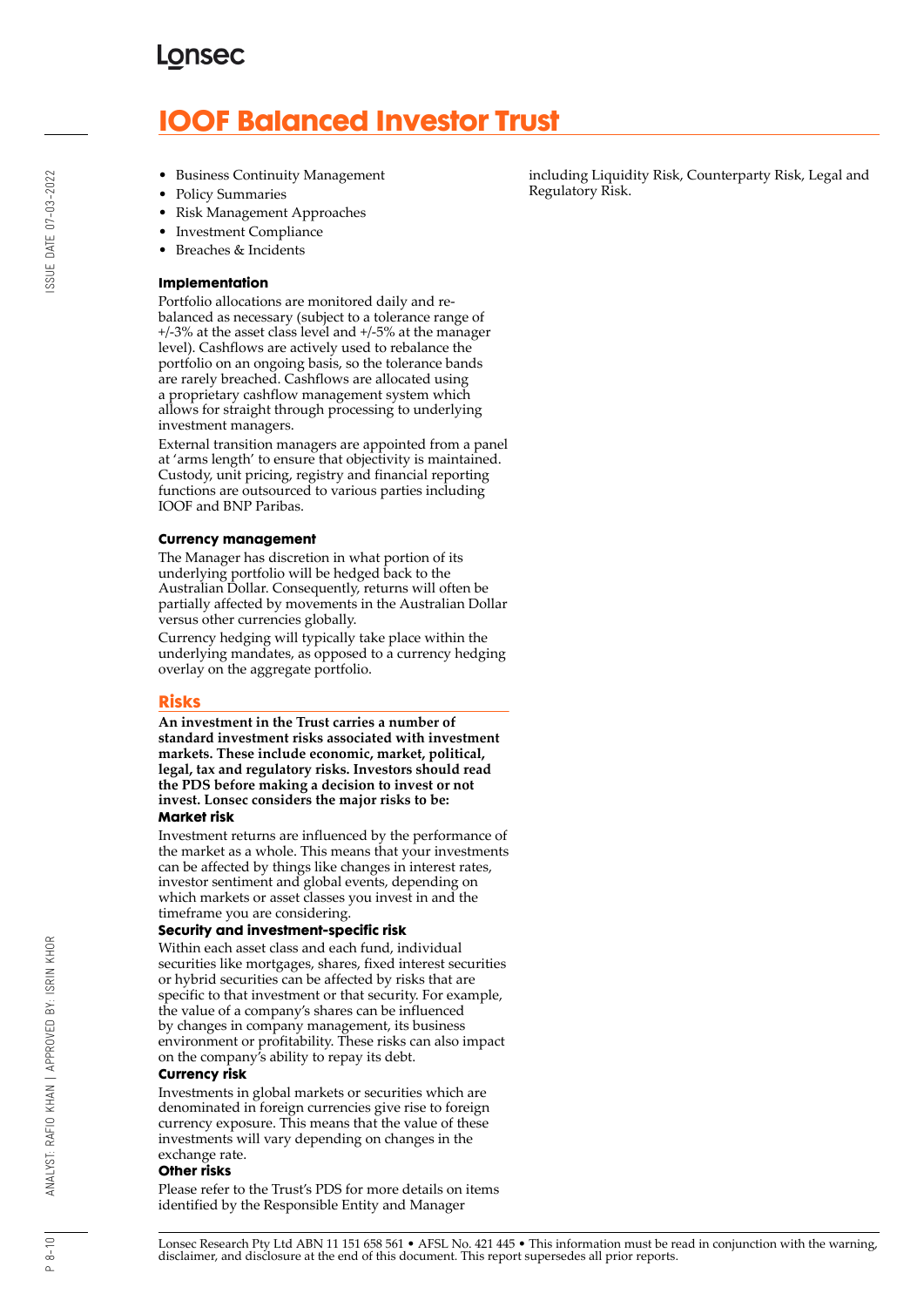# **IOOF Balanced Investor Trust**

- Business Continuity Management
- Policy Summaries
- Risk Management Approaches
- Investment Compliance
- Breaches & Incidents

#### **Implementation**

Portfolio allocations are monitored daily and rebalanced as necessary (subject to a tolerance range of +/-3% at the asset class level and +/-5% at the manager level). Cashflows are actively used to rebalance the portfolio on an ongoing basis, so the tolerance bands are rarely breached. Cashflows are allocated using a proprietary cashflow management system which allows for straight through processing to underlying investment managers.

External transition managers are appointed from a panel at 'arms length' to ensure that objectivity is maintained. Custody, unit pricing, registry and financial reporting functions are outsourced to various parties including IOOF and BNP Paribas.

#### **Currency management**

The Manager has discretion in what portion of its underlying portfolio will be hedged back to the Australian Dollar. Consequently, returns will often be partially affected by movements in the Australian Dollar versus other currencies globally.

Currency hedging will typically take place within the underlying mandates, as opposed to a currency hedging overlay on the aggregate portfolio.

### **Risks**

**An investment in the Trust carries a number of standard investment risks associated with investment markets. These include economic, market, political, legal, tax and regulatory risks. Investors should read the PDS before making a decision to invest or not invest. Lonsec considers the major risks to be: Market risk**

Investment returns are influenced by the performance of the market as a whole. This means that your investments can be affected by things like changes in interest rates, investor sentiment and global events, depending on which markets or asset classes you invest in and the timeframe you are considering.

#### **Security and investment-specific risk**

Within each asset class and each fund, individual securities like mortgages, shares, fixed interest securities or hybrid securities can be affected by risks that are specific to that investment or that security. For example, the value of a company's shares can be influenced by changes in company management, its business environment or profitability. These risks can also impact on the company's ability to repay its debt.

#### **Currency risk**

Investments in global markets or securities which are denominated in foreign currencies give rise to foreign currency exposure. This means that the value of these investments will vary depending on changes in the exchange rate.

#### **Other risks**

Please refer to the Trust's PDS for more details on items identified by the Responsible Entity and Manager

including Liquidity Risk, Counterparty Risk, Legal and Regulatory Risk.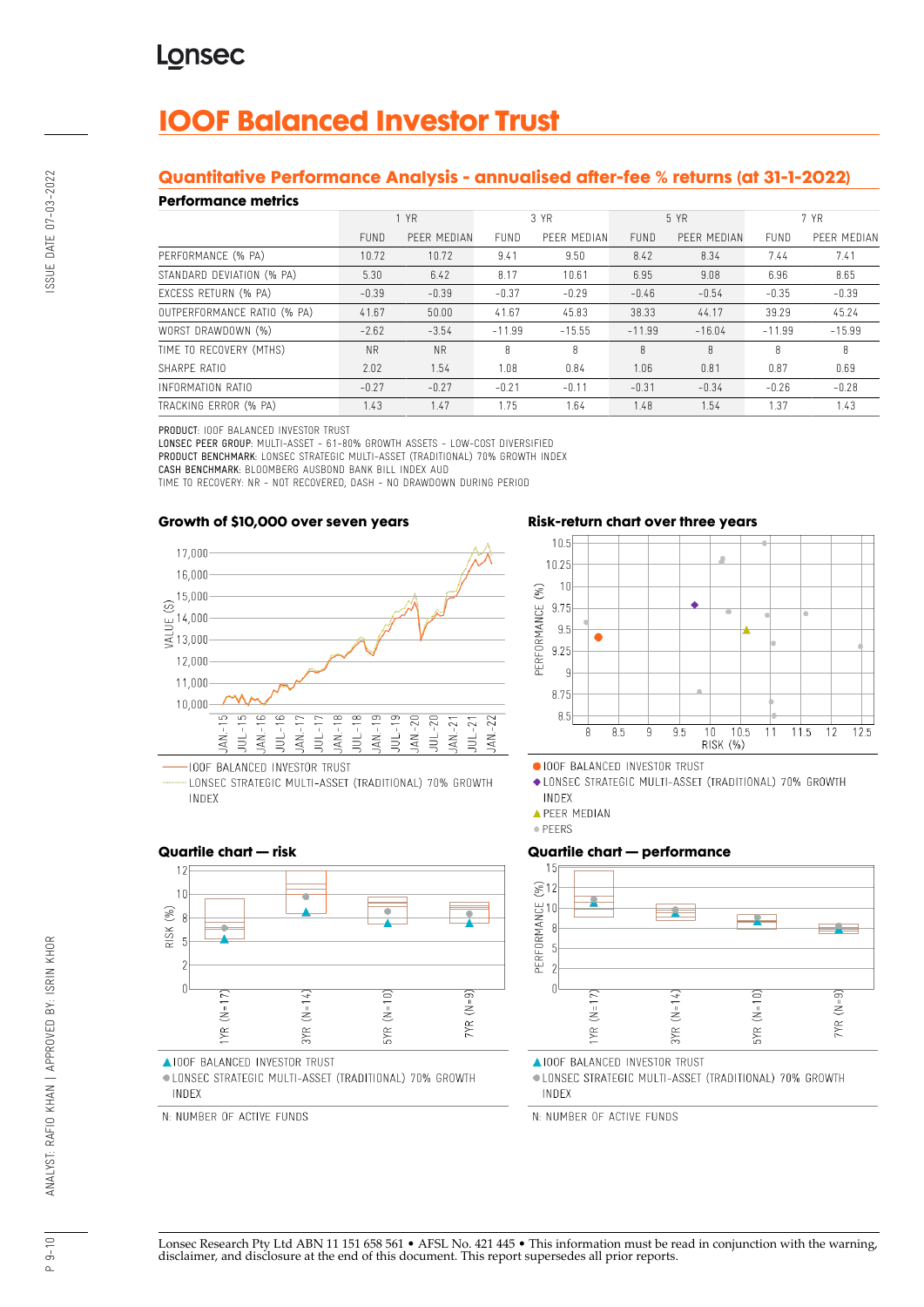# **IOOF Balanced Investor Trust**

### **Quantitative Performance Analysis - annualised after-fee % returns (at 31-1-2022)**

#### **Performance metrics**

| . YN SITTINISY MITHY        |             |             |             |             |          |             |             |             |
|-----------------------------|-------------|-------------|-------------|-------------|----------|-------------|-------------|-------------|
|                             |             | 1 YR        | 3 YR        |             | 5 YR     |             | 7 YR        |             |
|                             | <b>FUND</b> | PEER MEDIAN | <b>FUND</b> | PEER MEDIAN | FUND     | PEER MEDIAN | <b>FUND</b> | PEER MEDIAN |
| PERFORMANCE (% PA)          | 10.72       | 10.72       | 9.41        | 9.50        | 8.42     | 8.34        | 7.44        | 7.41        |
| STANDARD DEVIATION (% PA)   | 5.30        | 6.42        | 8.17        | 10.61       | 6.95     | 9.08        | 6.96        | 8.65        |
| EXCESS RETURN (% PA)        | $-0.39$     | $-0.39$     | $-0.37$     | $-0.29$     | $-0.46$  | $-0.54$     | $-0.35$     | $-0.39$     |
| OUTPERFORMANCE RATIO (% PA) | 41.67       | 50.00       | 41.67       | 45.83       | 38.33    | 44.17       | 39.29       | 45.24       |
| WORST DRAWDOWN (%)          | $-2.62$     | $-3.54$     | $-11.99$    | $-15.55$    | $-11.99$ | $-16.04$    | $-11.99$    | $-15.99$    |
| TIME TO RECOVERY (MTHS)     | <b>NR</b>   | <b>NR</b>   | 8           | 8           | 8        | 8           | 8           | 8           |
| SHARPF RATIO                | 2.02        | 1.54        | 1.08        | 0.84        | 1.06     | 0.81        | 0.87        | 0.69        |
| INFORMATION RATIO           | $-0.27$     | $-0.27$     | $-0.21$     | $-0.11$     | $-0.31$  | $-0.34$     | $-0.26$     | $-0.28$     |
| TRACKING ERROR (% PA)       | 1.43        | 1.47        | 1.75        | 1.64        | 1.48     | 1.54        | 1.37        | 1.43        |

PRODUCT: IOOF BALANCED INVESTOR TRUST

LONSEC PEER GROUP: MULTI-ASSET - 61-80% GROWTH ASSETS - LOW-COST DIVERSIFIED PRODUCT BENCHMARK: LONSEC STRATEGIC MULTI-ASSET (TRADITIONAL) 70% GROWTH INDEX

CASH BENCHMARK: BLOOMBERG AUSBOND BANK BILL INDEX AUD

TIME TO RECOVERY: NR - NOT RECOVERED, DASH - NO DRAWDOWN DURING PERIOD

#### **Growth of \$10,000 over seven years**



LONSEC STRATEGIC MULTI-ASSET (TRADITIONAL) 70% GROWTH INDEX

### **Risk-return chart over three years**



**APEER MEDIAN** 

· PEERS

### **Quartile chart — performance**



**AIOOF BALANCED INVESTOR TRUST** 

· LONSEC STRATEGIC MULTI-ASSET (TRADITIONAL) 70% GROWTH INDEX

N: NUMBER OF ACTIVE FUNDS

### **Quartile chart — risk**



AIOOF BALANCED INVESTOR TRUST

· LONSEC STRATEGIC MULTI-ASSET (TRADITIONAL) 70% GROWTH INDEX

N: NUMBER OF ACTIVE FUNDS